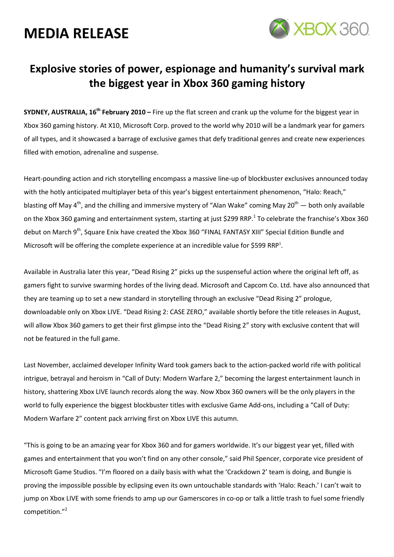

### Explosive stories of power, espionage and humanity's survival mark the biggest year in Xbox 360 gaming history

SYDNEY, AUSTRALIA,  $16^{th}$  February 2010 – Fire up the flat screen and crank up the volume for the biggest year in Xbox 360 gaming history. At X10, Microsoft Corp. proved to the world why 2010 will be a landmark year for gamers of all types, and it showcased a barrage of exclusive games that defy traditional genres and create new experiences filled with emotion, adrenaline and suspense.

Heart-pounding action and rich storytelling encompass a massive line-up of blockbuster exclusives announced today with the hotly anticipated multiplayer beta of this year's biggest entertainment phenomenon, "Halo: Reach," blasting off May 4<sup>th</sup>, and the chilling and immersive mystery of "Alan Wake" coming May 20<sup>th</sup> — both only available on the Xbox 360 gaming and entertainment system, starting at just \$299 RRP.<sup>1</sup> To celebrate the franchise's Xbox 360 debut on March 9<sup>th</sup>, Square Enix have created the Xbox 360 "FINAL FANTASY XIII" Special Edition Bundle and Microsoft will be offering the complete experience at an incredible value for \$599 RRP<sup>1</sup>.

Available in Australia later this year, "Dead Rising 2" picks up the suspenseful action where the original left off, as gamers fight to survive swarming hordes of the living dead. Microsoft and Capcom Co. Ltd. have also announced that they are teaming up to set a new standard in storytelling through an exclusive "Dead Rising 2" prologue, downloadable only on Xbox LIVE. "Dead Rising 2: CASE ZERO," available shortly before the title releases in August, will allow Xbox 360 gamers to get their first glimpse into the "Dead Rising 2" story with exclusive content that will not be featured in the full game.

Last November, acclaimed developer Infinity Ward took gamers back to the action-packed world rife with political intrigue, betrayal and heroism in "Call of Duty: Modern Warfare 2," becoming the largest entertainment launch in history, shattering Xbox LIVE launch records along the way. Now Xbox 360 owners will be the only players in the world to fully experience the biggest blockbuster titles with exclusive Game Add-ons, including a "Call of Duty: Modern Warfare 2" content pack arriving first on Xbox LIVE this autumn.

"This is going to be an amazing year for Xbox 360 and for gamers worldwide. It's our biggest year yet, filled with games and entertainment that you won't find on any other console," said Phil Spencer, corporate vice president of Microsoft Game Studios. "I'm floored on a daily basis with what the 'Crackdown 2' team is doing, and Bungie is proving the impossible possible by eclipsing even its own untouchable standards with 'Halo: Reach.' I can't wait to jump on Xbox LIVE with some friends to amp up our Gamerscores in co-op or talk a little trash to fuel some friendly competition."<sup>2</sup>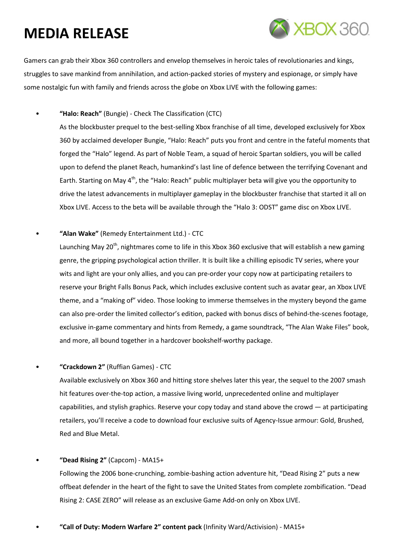

Gamers can grab their Xbox 360 controllers and envelop themselves in heroic tales of revolutionaries and kings, struggles to save mankind from annihilation, and action-packed stories of mystery and espionage, or simply have some nostalgic fun with family and friends across the globe on Xbox LIVE with the following games:

• "Halo: Reach" (Bungie) - Check The Classification (CTC)

As the blockbuster prequel to the best-selling Xbox franchise of all time, developed exclusively for Xbox 360 by acclaimed developer Bungie, "Halo: Reach" puts you front and centre in the fateful moments that forged the "Halo" legend. As part of Noble Team, a squad of heroic Spartan soldiers, you will be called upon to defend the planet Reach, humankind's last line of defence between the terrifying Covenant and Earth. Starting on May  $4<sup>th</sup>$ , the "Halo: Reach" public multiplayer beta will give you the opportunity to drive the latest advancements in multiplayer gameplay in the blockbuster franchise that started it all on Xbox LIVE. Access to the beta will be available through the "Halo 3: ODST" game disc on Xbox LIVE.

"Alan Wake" (Remedy Entertainment Ltd.) - CTC

Launching May 20<sup>th</sup>, nightmares come to life in this Xbox 360 exclusive that will establish a new gaming genre, the gripping psychological action thriller. It is built like a chilling episodic TV series, where your wits and light are your only allies, and you can pre-order your copy now at participating retailers to reserve your Bright Falls Bonus Pack, which includes exclusive content such as avatar gear, an Xbox LIVE theme, and a "making of" video. Those looking to immerse themselves in the mystery beyond the game can also pre-order the limited collector's edition, packed with bonus discs of behind-the-scenes footage, exclusive in-game commentary and hints from Remedy, a game soundtrack, "The Alan Wake Files" book, and more, all bound together in a hardcover bookshelf-worthy package.

• "Crackdown 2" (Ruffian Games) - CTC

Available exclusively on Xbox 360 and hitting store shelves later this year, the sequel to the 2007 smash hit features over-the-top action, a massive living world, unprecedented online and multiplayer capabilities, and stylish graphics. Reserve your copy today and stand above the crowd — at participating retailers, you'll receive a code to download four exclusive suits of Agency-Issue armour: Gold, Brushed, Red and Blue Metal.

• "Dead Rising 2" (Capcom) - MA15+

Following the 2006 bone-crunching, zombie-bashing action adventure hit, "Dead Rising 2" puts a new offbeat defender in the heart of the fight to save the United States from complete zombification. "Dead Rising 2: CASE ZERO" will release as an exclusive Game Add-on only on Xbox LIVE.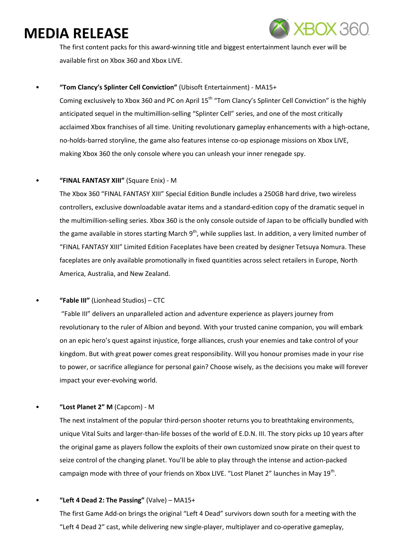

The first content packs for this award-winning title and biggest entertainment launch ever will be available first on Xbox 360 and Xbox LIVE.

#### • "Tom Clancy's Splinter Cell Conviction" (Ubisoft Entertainment) - MA15+

Coming exclusively to Xbox 360 and PC on April 15<sup>th</sup> "Tom Clancy's Splinter Cell Conviction" is the highly anticipated sequel in the multimillion-selling "Splinter Cell" series, and one of the most critically acclaimed Xbox franchises of all time. Uniting revolutionary gameplay enhancements with a high-octane, no-holds-barred storyline, the game also features intense co-op espionage missions on Xbox LIVE, making Xbox 360 the only console where you can unleash your inner renegade spy.

#### • "FINAL FANTASY XIII" (Square Enix) - M

The Xbox 360 "FINAL FANTASY XIII" Special Edition Bundle includes a 250GB hard drive, two wireless controllers, exclusive downloadable avatar items and a standard-edition copy of the dramatic sequel in the multimillion-selling series. Xbox 360 is the only console outside of Japan to be officially bundled with the game available in stores starting March  $9<sup>th</sup>$ , while supplies last. In addition, a very limited number of "FINAL FANTASY XIII" Limited Edition Faceplates have been created by designer Tetsuya Nomura. These faceplates are only available promotionally in fixed quantities across select retailers in Europe, North America, Australia, and New Zealand.

• "Fable III" (Lionhead Studios) – CTC

 "Fable III" delivers an unparalleled action and adventure experience as players journey from revolutionary to the ruler of Albion and beyond. With your trusted canine companion, you will embark on an epic hero's quest against injustice, forge alliances, crush your enemies and take control of your kingdom. But with great power comes great responsibility. Will you honour promises made in your rise to power, or sacrifice allegiance for personal gain? Choose wisely, as the decisions you make will forever impact your ever-evolving world.

• "Lost Planet 2" M (Capcom) - M

The next instalment of the popular third-person shooter returns you to breathtaking environments, unique Vital Suits and larger-than-life bosses of the world of E.D.N. III. The story picks up 10 years after the original game as players follow the exploits of their own customized snow pirate on their quest to seize control of the changing planet. You'll be able to play through the intense and action-packed campaign mode with three of your friends on Xbox LIVE. "Lost Planet 2" launches in May 19<sup>th</sup>.

#### "Left 4 Dead 2: The Passing" (Valve) -  $MA15+$

The first Game Add-on brings the original "Left 4 Dead" survivors down south for a meeting with the "Left 4 Dead 2" cast, while delivering new single-player, multiplayer and co-operative gameplay,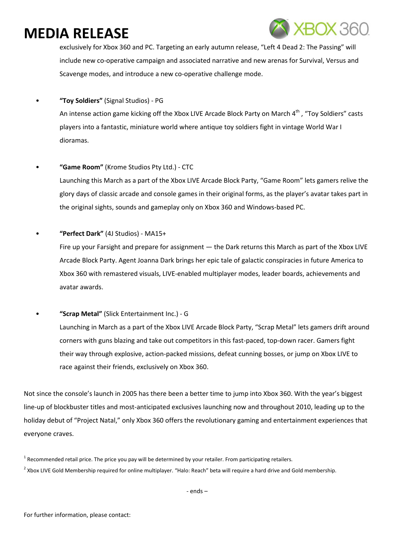

exclusively for Xbox 360 and PC. Targeting an early autumn release, "Left 4 Dead 2: The Passing" will include new co-operative campaign and associated narrative and new arenas for Survival, Versus and Scavenge modes, and introduce a new co-operative challenge mode.

• "Toy Soldiers" (Signal Studios) - PG

An intense action game kicking off the Xbox LIVE Arcade Block Party on March 4<sup>th</sup> , "Toy Soldiers" casts players into a fantastic, miniature world where antique toy soldiers fight in vintage World War I dioramas.

- "Game Room" (Krome Studios Pty Ltd.) CTC Launching this March as a part of the Xbox LIVE Arcade Block Party, "Game Room" lets gamers relive the glory days of classic arcade and console games in their original forms, as the player's avatar takes part in the original sights, sounds and gameplay only on Xbox 360 and Windows-based PC.
	- "Perfect Dark" (4J Studios) MA15+ Fire up your Farsight and prepare for assignment - the Dark returns this March as part of the Xbox LIVE Arcade Block Party. Agent Joanna Dark brings her epic tale of galactic conspiracies in future America to Xbox 360 with remastered visuals, LIVE-enabled multiplayer modes, leader boards, achievements and avatar awards.
- "Scrap Metal" (Slick Entertainment Inc.) G Launching in March as a part of the Xbox LIVE Arcade Block Party, "Scrap Metal" lets gamers drift around corners with guns blazing and take out competitors in this fast-paced, top-down racer. Gamers fight their way through explosive, action-packed missions, defeat cunning bosses, or jump on Xbox LIVE to race against their friends, exclusively on Xbox 360.

Not since the console's launch in 2005 has there been a better time to jump into Xbox 360. With the year's biggest line-up of blockbuster titles and most-anticipated exclusives launching now and throughout 2010, leading up to the holiday debut of "Project Natal," only Xbox 360 offers the revolutionary gaming and entertainment experiences that everyone craves.

<sup>&</sup>lt;sup>1</sup> Recommended retail price. The price you pay will be determined by your retailer. From participating retailers.  $^2$  Xbox LIVE Gold Membership required for online multiplayer. "Halo: Reach" beta will require a hard drive and Gold membership.